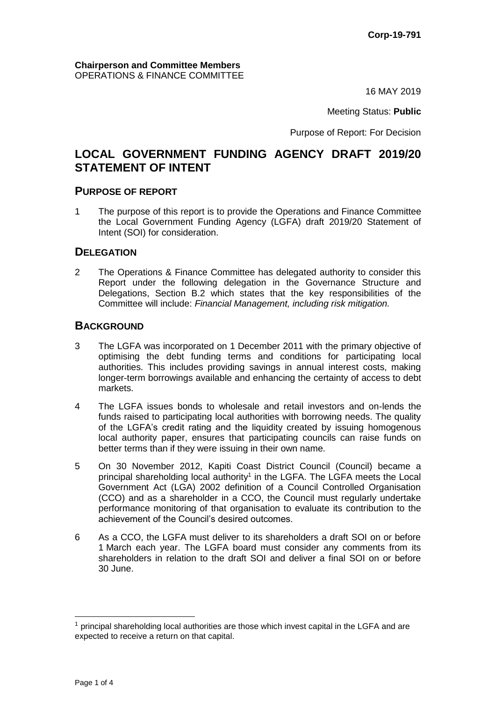16 MAY 2019

Meeting Status: **Public**

Purpose of Report: For Decision

# **LOCAL GOVERNMENT FUNDING AGENCY DRAFT 2019/20 STATEMENT OF INTENT**

### **PURPOSE OF REPORT**

1 The purpose of this report is to provide the Operations and Finance Committee the Local Government Funding Agency (LGFA) draft 2019/20 Statement of Intent (SOI) for consideration.

## **DELEGATION**

2 The Operations & Finance Committee has delegated authority to consider this Report under the following delegation in the Governance Structure and Delegations, Section B.2 which states that the key responsibilities of the Committee will include: *Financial Management, including risk mitigation.*

### **BACKGROUND**

- 3 The LGFA was incorporated on 1 December 2011 with the primary objective of optimising the debt funding terms and conditions for participating local authorities. This includes providing savings in annual interest costs, making longer-term borrowings available and enhancing the certainty of access to debt markets.
- 4 The LGFA issues bonds to wholesale and retail investors and on-lends the funds raised to participating local authorities with borrowing needs. The quality of the LGFA's credit rating and the liquidity created by issuing homogenous local authority paper, ensures that participating councils can raise funds on better terms than if they were issuing in their own name.
- 5 On 30 November 2012, Kapiti Coast District Council (Council) became a principal shareholding local authority<sup>1</sup> in the LGFA. The LGFA meets the Local Government Act (LGA) 2002 definition of a Council Controlled Organisation (CCO) and as a shareholder in a CCO, the Council must regularly undertake performance monitoring of that organisation to evaluate its contribution to the achievement of the Council's desired outcomes.
- 6 As a CCO, the LGFA must deliver to its shareholders a draft SOI on or before 1 March each year. The LGFA board must consider any comments from its shareholders in relation to the draft SOI and deliver a final SOI on or before 30 June.

 $1$  principal shareholding local authorities are those which invest capital in the LGFA and are expected to receive a return on that capital.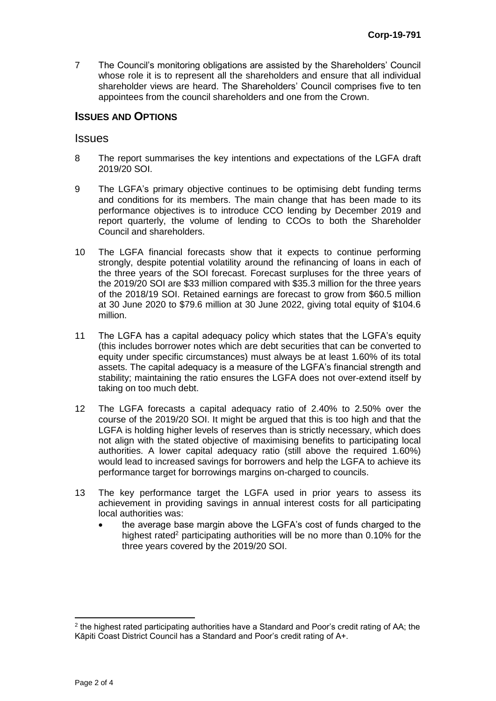7 The Council's monitoring obligations are assisted by the Shareholders' Council whose role it is to represent all the shareholders and ensure that all individual shareholder views are heard. The Shareholders' Council comprises five to ten appointees from the council shareholders and one from the Crown.

# **ISSUES AND OPTIONS**

#### **Issues**

- 8 The report summarises the key intentions and expectations of the LGFA draft 2019/20 SOI.
- 9 The LGFA's primary objective continues to be optimising debt funding terms and conditions for its members. The main change that has been made to its performance objectives is to introduce CCO lending by December 2019 and report quarterly, the volume of lending to CCOs to both the Shareholder Council and shareholders.
- 10 The LGFA financial forecasts show that it expects to continue performing strongly, despite potential volatility around the refinancing of loans in each of the three years of the SOI forecast. Forecast surpluses for the three years of the 2019/20 SOI are \$33 million compared with \$35.3 million for the three years of the 2018/19 SOI. Retained earnings are forecast to grow from \$60.5 million at 30 June 2020 to \$79.6 million at 30 June 2022, giving total equity of \$104.6 million.
- 11 The LGFA has a capital adequacy policy which states that the LGFA's equity (this includes borrower notes which are debt securities that can be converted to equity under specific circumstances) must always be at least 1.60% of its total assets. The capital adequacy is a measure of the LGFA's financial strength and stability; maintaining the ratio ensures the LGFA does not over-extend itself by taking on too much debt.
- 12 The LGFA forecasts a capital adequacy ratio of 2.40% to 2.50% over the course of the 2019/20 SOI. It might be argued that this is too high and that the LGFA is holding higher levels of reserves than is strictly necessary, which does not align with the stated objective of maximising benefits to participating local authorities. A lower capital adequacy ratio (still above the required 1.60%) would lead to increased savings for borrowers and help the LGFA to achieve its performance target for borrowings margins on-charged to councils.
- 13 The key performance target the LGFA used in prior years to assess its achievement in providing savings in annual interest costs for all participating local authorities was:
	- the average base margin above the LGFA's cost of funds charged to the highest rated<sup>2</sup> participating authorities will be no more than 0.10% for the three years covered by the 2019/20 SOI.

 $\overline{a}$ 

 $^2$  the highest rated participating authorities have a Standard and Poor's credit rating of AA; the Kāpiti Coast District Council has a Standard and Poor's credit rating of A+.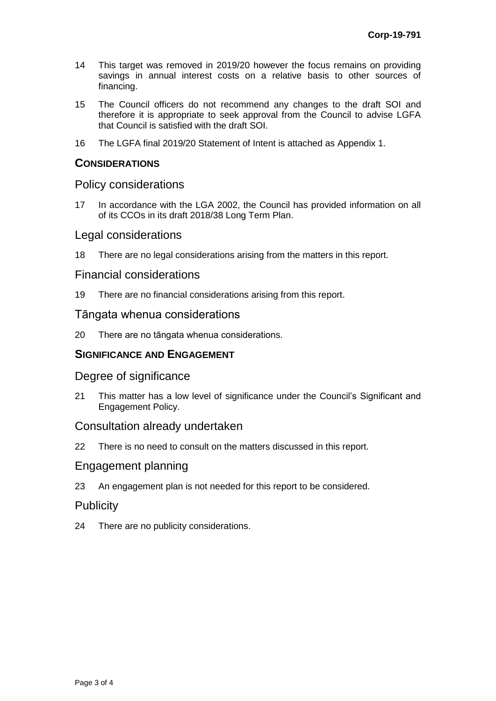- 14 This target was removed in 2019/20 however the focus remains on providing savings in annual interest costs on a relative basis to other sources of financing.
- 15 The Council officers do not recommend any changes to the draft SOI and therefore it is appropriate to seek approval from the Council to advise LGFA that Council is satisfied with the draft SOI.
- 16 The LGFA final 2019/20 Statement of Intent is attached as Appendix 1.

## **CONSIDERATIONS**

## Policy considerations

17 In accordance with the LGA 2002, the Council has provided information on all of its CCOs in its draft 2018/38 Long Term Plan.

### Legal considerations

18 There are no legal considerations arising from the matters in this report.

### Financial considerations

19 There are no financial considerations arising from this report.

## Tāngata whenua considerations

20 There are no tāngata whenua considerations.

## **SIGNIFICANCE AND ENGAGEMENT**

#### Degree of significance

21 This matter has a low level of significance under the Council's Significant and Engagement Policy.

#### Consultation already undertaken

22 There is no need to consult on the matters discussed in this report.

#### Engagement planning

23 An engagement plan is not needed for this report to be considered.

## **Publicity**

24 There are no publicity considerations.